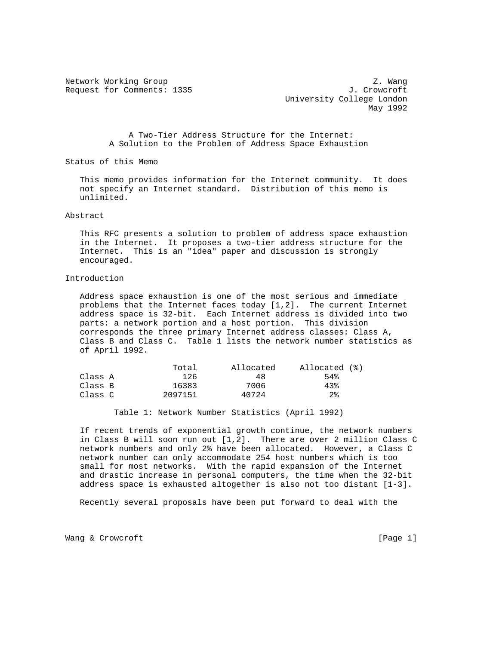Request for Comments: 1335 J. Crowcroft

Network Working Group Z. Wang University College London May 1992

> A Two-Tier Address Structure for the Internet: A Solution to the Problem of Address Space Exhaustion

Status of this Memo

 This memo provides information for the Internet community. It does not specify an Internet standard. Distribution of this memo is unlimited.

### Abstract

 This RFC presents a solution to problem of address space exhaustion in the Internet. It proposes a two-tier address structure for the Internet. This is an "idea" paper and discussion is strongly encouraged.

# Introduction

 Address space exhaustion is one of the most serious and immediate problems that the Internet faces today [1,2]. The current Internet address space is 32-bit. Each Internet address is divided into two parts: a network portion and a host portion. This division corresponds the three primary Internet address classes: Class A, Class B and Class C. Table 1 lists the network number statistics as of April 1992.

|         | Total   | Allocated | Allocated (%) |
|---------|---------|-----------|---------------|
| Class A | 126     | 48        | 54%           |
| Class B | 16383   | 7006      | 43%           |
| Class C | 2097151 | 40724     | $2\,$         |

Table 1: Network Number Statistics (April 1992)

 If recent trends of exponential growth continue, the network numbers in Class B will soon run out [1,2]. There are over 2 million Class C network numbers and only 2% have been allocated. However, a Class C network number can only accommodate 254 host numbers which is too small for most networks. With the rapid expansion of the Internet and drastic increase in personal computers, the time when the 32-bit address space is exhausted altogether is also not too distant [1-3].

Recently several proposals have been put forward to deal with the

Wang & Crowcroft [Page 1]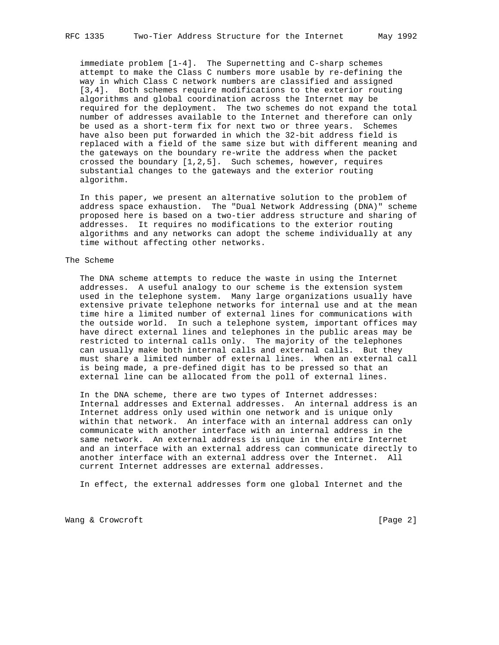immediate problem [1-4]. The Supernetting and C-sharp schemes attempt to make the Class C numbers more usable by re-defining the way in which Class C network numbers are classified and assigned [3,4]. Both schemes require modifications to the exterior routing algorithms and global coordination across the Internet may be required for the deployment. The two schemes do not expand the total number of addresses available to the Internet and therefore can only be used as a short-term fix for next two or three years. Schemes have also been put forwarded in which the 32-bit address field is replaced with a field of the same size but with different meaning and the gateways on the boundary re-write the address when the packet crossed the boundary [1,2,5]. Such schemes, however, requires substantial changes to the gateways and the exterior routing algorithm.

 In this paper, we present an alternative solution to the problem of address space exhaustion. The "Dual Network Addressing (DNA)" scheme proposed here is based on a two-tier address structure and sharing of addresses. It requires no modifications to the exterior routing algorithms and any networks can adopt the scheme individually at any time without affecting other networks.

### The Scheme

 The DNA scheme attempts to reduce the waste in using the Internet addresses. A useful analogy to our scheme is the extension system used in the telephone system. Many large organizations usually have extensive private telephone networks for internal use and at the mean time hire a limited number of external lines for communications with the outside world. In such a telephone system, important offices may have direct external lines and telephones in the public areas may be restricted to internal calls only. The majority of the telephones can usually make both internal calls and external calls. But they must share a limited number of external lines. When an external call is being made, a pre-defined digit has to be pressed so that an external line can be allocated from the poll of external lines.

 In the DNA scheme, there are two types of Internet addresses: Internal addresses and External addresses. An internal address is an Internet address only used within one network and is unique only within that network. An interface with an internal address can only communicate with another interface with an internal address in the same network. An external address is unique in the entire Internet and an interface with an external address can communicate directly to another interface with an external address over the Internet. All current Internet addresses are external addresses.

In effect, the external addresses form one global Internet and the

Wang & Crowcroft [Page 2]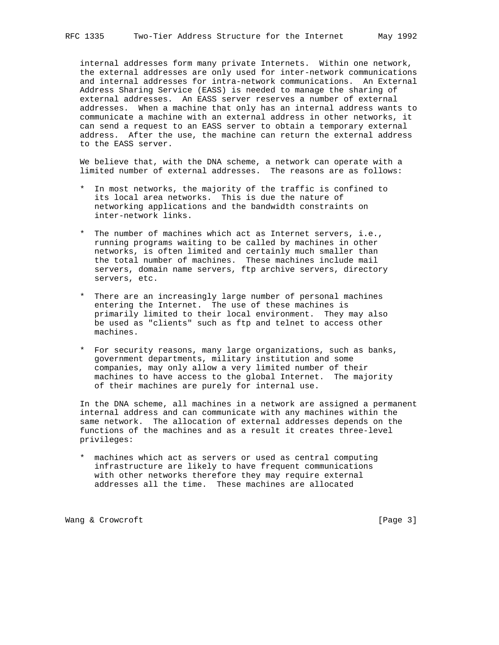internal addresses form many private Internets. Within one network, the external addresses are only used for inter-network communications and internal addresses for intra-network communications. An External Address Sharing Service (EASS) is needed to manage the sharing of external addresses. An EASS server reserves a number of external addresses. When a machine that only has an internal address wants to communicate a machine with an external address in other networks, it can send a request to an EASS server to obtain a temporary external address. After the use, the machine can return the external address to the EASS server.

 We believe that, with the DNA scheme, a network can operate with a limited number of external addresses. The reasons are as follows:

- \* In most networks, the majority of the traffic is confined to its local area networks. This is due the nature of networking applications and the bandwidth constraints on inter-network links.
- \* The number of machines which act as Internet servers, i.e., running programs waiting to be called by machines in other networks, is often limited and certainly much smaller than the total number of machines. These machines include mail servers, domain name servers, ftp archive servers, directory servers, etc.
- \* There are an increasingly large number of personal machines entering the Internet. The use of these machines is primarily limited to their local environment. They may also be used as "clients" such as ftp and telnet to access other machines.
- \* For security reasons, many large organizations, such as banks, government departments, military institution and some companies, may only allow a very limited number of their machines to have access to the global Internet. The majority of their machines are purely for internal use.

 In the DNA scheme, all machines in a network are assigned a permanent internal address and can communicate with any machines within the same network. The allocation of external addresses depends on the functions of the machines and as a result it creates three-level privileges:

 \* machines which act as servers or used as central computing infrastructure are likely to have frequent communications with other networks therefore they may require external addresses all the time. These machines are allocated

Wang & Crowcroft [Page 3]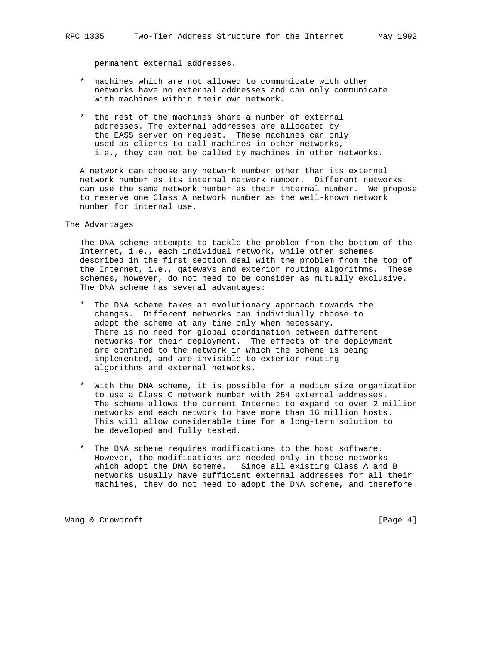permanent external addresses.

- \* machines which are not allowed to communicate with other networks have no external addresses and can only communicate with machines within their own network.
- \* the rest of the machines share a number of external addresses. The external addresses are allocated by the EASS server on request. These machines can only used as clients to call machines in other networks, i.e., they can not be called by machines in other networks.

 A network can choose any network number other than its external network number as its internal network number. Different networks can use the same network number as their internal number. We propose to reserve one Class A network number as the well-known network number for internal use.

The Advantages

 The DNA scheme attempts to tackle the problem from the bottom of the Internet, i.e., each individual network, while other schemes described in the first section deal with the problem from the top of the Internet, i.e., gateways and exterior routing algorithms. These schemes, however, do not need to be consider as mutually exclusive. The DNA scheme has several advantages:

- \* The DNA scheme takes an evolutionary approach towards the changes. Different networks can individually choose to adopt the scheme at any time only when necessary. There is no need for global coordination between different networks for their deployment. The effects of the deployment are confined to the network in which the scheme is being implemented, and are invisible to exterior routing algorithms and external networks.
- \* With the DNA scheme, it is possible for a medium size organization to use a Class C network number with 254 external addresses. The scheme allows the current Internet to expand to over 2 million networks and each network to have more than 16 million hosts. This will allow considerable time for a long-term solution to be developed and fully tested.
- \* The DNA scheme requires modifications to the host software. However, the modifications are needed only in those networks which adopt the DNA scheme. Since all existing Class A and B networks usually have sufficient external addresses for all their machines, they do not need to adopt the DNA scheme, and therefore

Wang & Crowcroft [Page 4]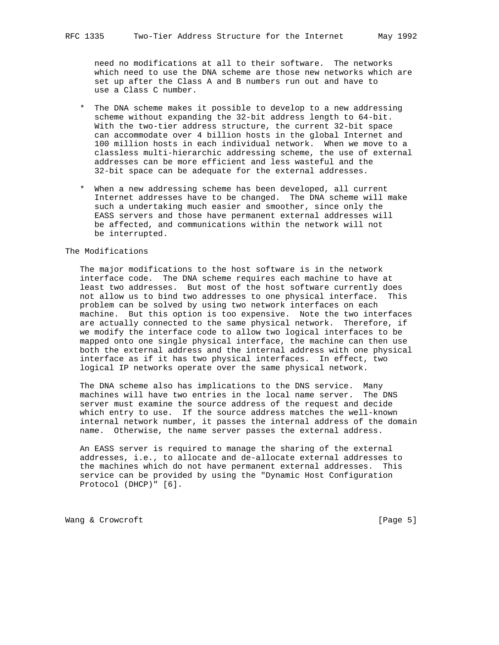need no modifications at all to their software. The networks which need to use the DNA scheme are those new networks which are set up after the Class A and B numbers run out and have to use a Class C number.

- \* The DNA scheme makes it possible to develop to a new addressing scheme without expanding the 32-bit address length to 64-bit. With the two-tier address structure, the current 32-bit space can accommodate over 4 billion hosts in the global Internet and 100 million hosts in each individual network. When we move to a classless multi-hierarchic addressing scheme, the use of external addresses can be more efficient and less wasteful and the 32-bit space can be adequate for the external addresses.
- \* When a new addressing scheme has been developed, all current Internet addresses have to be changed. The DNA scheme will make such a undertaking much easier and smoother, since only the EASS servers and those have permanent external addresses will be affected, and communications within the network will not be interrupted.

# The Modifications

 The major modifications to the host software is in the network interface code. The DNA scheme requires each machine to have at least two addresses. But most of the host software currently does not allow us to bind two addresses to one physical interface. This problem can be solved by using two network interfaces on each machine. But this option is too expensive. Note the two interfaces are actually connected to the same physical network. Therefore, if we modify the interface code to allow two logical interfaces to be mapped onto one single physical interface, the machine can then use both the external address and the internal address with one physical interface as if it has two physical interfaces. In effect, two logical IP networks operate over the same physical network.

 The DNA scheme also has implications to the DNS service. Many machines will have two entries in the local name server. The DNS server must examine the source address of the request and decide which entry to use. If the source address matches the well-known internal network number, it passes the internal address of the domain name. Otherwise, the name server passes the external address.

 An EASS server is required to manage the sharing of the external addresses, i.e., to allocate and de-allocate external addresses to the machines which do not have permanent external addresses. This service can be provided by using the "Dynamic Host Configuration Protocol (DHCP)" [6].

Wang & Crowcroft [Page 5]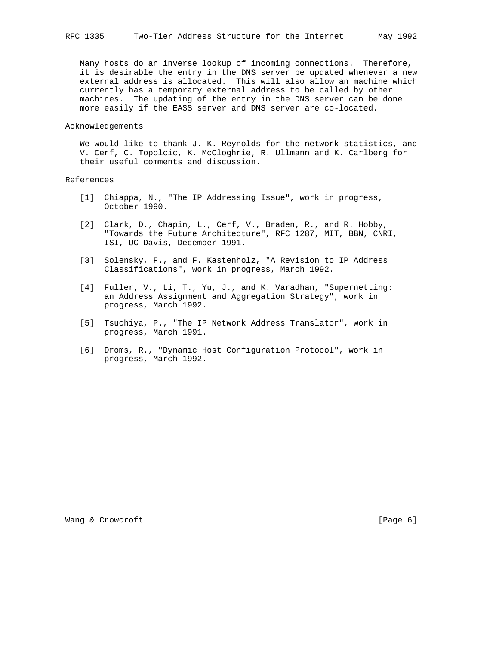Many hosts do an inverse lookup of incoming connections. Therefore, it is desirable the entry in the DNS server be updated whenever a new external address is allocated. This will also allow an machine which currently has a temporary external address to be called by other machines. The updating of the entry in the DNS server can be done more easily if the EASS server and DNS server are co-located.

#### Acknowledgements

We would like to thank J. K. Reynolds for the network statistics, and V. Cerf, C. Topolcic, K. McCloghrie, R. Ullmann and K. Carlberg for their useful comments and discussion.

# References

- [1] Chiappa, N., "The IP Addressing Issue", work in progress, October 1990.
- [2] Clark, D., Chapin, L., Cerf, V., Braden, R., and R. Hobby, "Towards the Future Architecture", RFC 1287, MIT, BBN, CNRI, ISI, UC Davis, December 1991.
- [3] Solensky, F., and F. Kastenholz, "A Revision to IP Address Classifications", work in progress, March 1992.
- [4] Fuller, V., Li, T., Yu, J., and K. Varadhan, "Supernetting: an Address Assignment and Aggregation Strategy", work in progress, March 1992.
- [5] Tsuchiya, P., "The IP Network Address Translator", work in progress, March 1991.
- [6] Droms, R., "Dynamic Host Configuration Protocol", work in progress, March 1992.